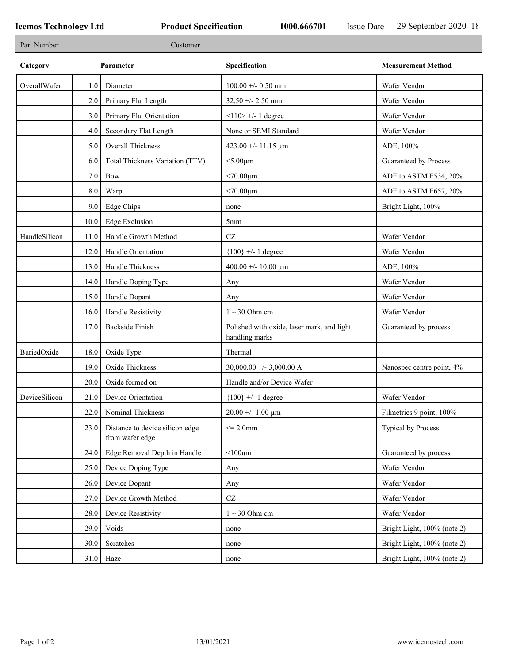٦

| Part Number   |      | Customer                                           |                                                              |                             |
|---------------|------|----------------------------------------------------|--------------------------------------------------------------|-----------------------------|
| Category      |      | Parameter                                          | Specification                                                | <b>Measurement Method</b>   |
| OverallWafer  | 1.0  | Diameter                                           | $100.00 + - 0.50$ mm                                         | Wafer Vendor                |
|               | 2.0  | Primary Flat Length                                | $32.50 + - 2.50$ mm                                          | Wafer Vendor                |
|               | 3.0  | Primary Flat Orientation                           | $<$ 110> +/- 1 degree                                        | Wafer Vendor                |
|               | 4.0  | Secondary Flat Length                              | None or SEMI Standard                                        | Wafer Vendor                |
|               | 5.0  | Overall Thickness                                  | 423.00 +/- 11.15 $\mu$ m                                     | ADE, 100%                   |
|               | 6.0  | Total Thickness Variation (TTV)                    | $<$ 5.00 $\mu$ m                                             | Guaranteed by Process       |
|               | 7.0  | Bow                                                | $< 70.00 \mu m$                                              | ADE to ASTM F534, 20%       |
|               | 8.0  | Warp                                               | $< 70.00 \mu m$                                              | ADE to ASTM F657, 20%       |
|               | 9.0  | <b>Edge Chips</b>                                  | none                                                         | Bright Light, 100%          |
|               | 10.0 | <b>Edge Exclusion</b>                              | 5 <sub>mm</sub>                                              |                             |
| HandleSilicon | 11.0 | Handle Growth Method                               | $\operatorname{CZ}$                                          | Wafer Vendor                |
|               | 12.0 | Handle Orientation                                 | ${100}$ +/- 1 degree                                         | Wafer Vendor                |
|               | 13.0 | Handle Thickness                                   | 400.00 +/- 10.00 $\mu$ m                                     | ADE, 100%                   |
|               | 14.0 | Handle Doping Type                                 | Any                                                          | Wafer Vendor                |
|               | 15.0 | Handle Dopant                                      | Any                                                          | Wafer Vendor                |
|               | 16.0 | Handle Resistivity                                 | $1 \sim 30$ Ohm cm                                           | Wafer Vendor                |
|               | 17.0 | <b>Backside Finish</b>                             | Polished with oxide, laser mark, and light<br>handling marks | Guaranteed by process       |
| BuriedOxide   | 18.0 | Oxide Type                                         | Thermal                                                      |                             |
|               | 19.0 | Oxide Thickness                                    | 30,000.00 +/- 3,000.00 A                                     | Nanospec centre point, 4%   |
|               | 20.0 | Oxide formed on                                    | Handle and/or Device Wafer                                   |                             |
| DeviceSilicon | 21.0 | Device Orientation                                 | ${100}$ +/- 1 degree                                         | Wafer Vendor                |
|               |      | 22.0 Nominal Thickness                             | $20.00 + - 1.00 \mu m$                                       | Filmetrics 9 point, 100%    |
|               | 23.0 | Distance to device silicon edge<br>from wafer edge | $\leq$ 2.0mm                                                 | Typical by Process          |
|               | 24.0 | Edge Removal Depth in Handle                       | $<$ 100 $um$                                                 | Guaranteed by process       |
|               | 25.0 | Device Doping Type                                 | Any                                                          | Wafer Vendor                |
|               | 26.0 | Device Dopant                                      | Any                                                          | Wafer Vendor                |
|               | 27.0 | Device Growth Method                               | $\operatorname{CZ}$                                          | Wafer Vendor                |
|               | 28.0 | Device Resistivity                                 | $1 \sim 30$ Ohm cm                                           | Wafer Vendor                |
|               | 29.0 | Voids                                              | none                                                         | Bright Light, 100% (note 2) |
|               | 30.0 | Scratches                                          | none                                                         | Bright Light, 100% (note 2) |
|               | 31.0 | Haze                                               | none                                                         | Bright Light, 100% (note 2) |